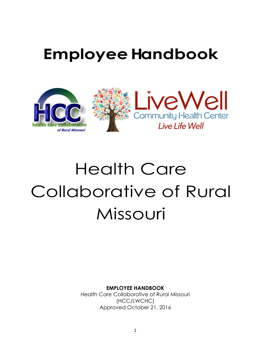# **EmployeeHandbook**



# Health Care Collaborative of Rural Missouri

**EMPLOYEE HANDBOOK**

Health Care Collaborative of Rural Missouri (HCC/LWCHC) Approved October 21, 2016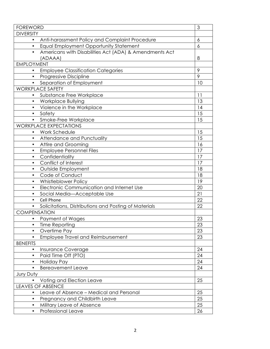| <b>FOREWORD</b>                                                     | 3  |
|---------------------------------------------------------------------|----|
| <b>DIVERSITY</b>                                                    |    |
| Anti-harassment Policy and Complaint Procedure<br>$\bullet$         | 6  |
| Equal Employment Opportunity Statement<br>$\bullet$                 | 6  |
| Americans with Disabilities Act (ADA) & Amendments Act<br>$\bullet$ |    |
| (ADAAA)                                                             | 8  |
| <b>EMPLOYMENT</b>                                                   |    |
| <b>Employee Classification Categories</b><br>$\bullet$              | 9  |
| <b>Progressive Discipline</b>                                       | 9  |
| Separation of Employment<br>$\bullet$                               | 10 |
| <b>WORKPLACE SAFETY</b>                                             |    |
| Substance Free Workplace                                            | 11 |
| <b>Workplace Bullying</b><br>$\bullet$                              | 13 |
| Violence in the Workplace<br>$\bullet$                              | 14 |
| Safety<br>$\bullet$                                                 | 15 |
| Smoke-Free Workplace<br>$\bullet$                                   | 15 |
| <b>WORKPLACE EXPECTATIONS</b>                                       |    |
| Work Schedule                                                       | 15 |
| <b>Attendance and Punctuality</b><br>$\bullet$                      | 15 |
| <b>Attire and Grooming</b><br>$\bullet$                             | 16 |
| <b>Employee Personnel Files</b><br>$\bullet$                        | 17 |
| Confidentiality<br>$\bullet$                                        | 17 |
| Conflict of Interest<br>$\bullet$                                   | 17 |
| Outside Employment<br>$\bullet$                                     | 18 |
| Code of Conduct<br>$\bullet$                                        | 18 |
| Whistleblower Policy<br>$\bullet$                                   | 19 |
| Electronic Communication and Internet Use<br>$\bullet$              | 20 |
| Social Media-Acceptable Use<br>$\bullet$                            | 21 |
| Cell Phone<br>$\bullet$                                             | 22 |
| Solicitations, Distributions and Posting of Materials               | 22 |
| <b>COMPENSATION</b>                                                 |    |
| Payment of Wages                                                    | 23 |
| Time Reporting                                                      | 23 |
| Overtime Pay<br>$\bullet$                                           | 23 |
| <b>Employee Travel and Reimbursement</b><br>$\bullet$               | 23 |
| <b>BENEFITS</b>                                                     |    |
| Insurance Coverage                                                  | 24 |
| Paid Time Off (PTO)<br>$\bullet$                                    | 24 |
| Holiday Pay                                                         | 24 |
| <b>Bereavement Leave</b><br>$\bullet$                               | 24 |
| Jury Duty                                                           |    |
| Voting and Election Leave                                           | 25 |
| <b>LEAVES OF ABSENCE</b>                                            |    |
| Leave of Absence - Medical and Personal                             | 25 |
| Pregnancy and Childbirth Leave                                      | 25 |
| Military Leave of Absence                                           | 25 |
| Professional Leave<br>$\bullet$                                     | 26 |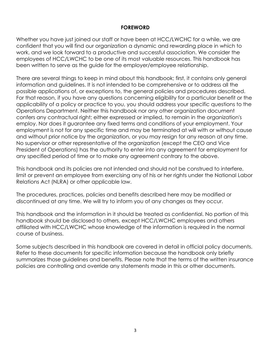#### **FOREWORD**

Whether you have just joined our staff or have been at HCC/LWCHC for a while, we are confident that you will find our organization a dynamic and rewarding place in which to work, and we look forward to a productive and successful association. We consider the employees of HCC/LWCHC to be one of its most valuable resources. This handbook has been written to serve as the guide for the employer/employee relationship.

There are several things to keep in mind about this handbook; first, it contains only general information and guidelines. It is not intended to be comprehensive or to address all the possible applications of, or exceptions to, the general policies and procedures described. For that reason, if you have any questions concerning eligibility for a particular benefit or the applicability of a policy or practice to you, you should address your specific questions to the Operations Department. Neither this handbook nor any other organization document confers any contractual right; either expressed or implied, to remain in the organization's employ. Nor does it guarantee any fixed terms and conditions of your employment. Your employment is not for any specific time and may be terminated at will with or without cause and without prior notice by the organization, or you may resign for any reason at any time. No supervisor or other representative of the organization (except the CEO and Vice President of Operations) has the authority to enter into any agreement for employment for any specified period of time or to make any agreement contrary to the above.

This handbook and its policies are not intended and should not be construed to interfere, limit or prevent an employee from exercising any of his or her rights under the National Labor Relations Act (NLRA) or other applicable law.

The procedures, practices, policies and benefits described here may be modified or discontinued at any time. We will try to inform you of any changes as they occur.

This handbook and the information in it should be treated as confidential. No portion of this handbook should be disclosed to others, except HCC/LWCHC employees and others affiliated with HCC/LWCHC whose knowledge of the information is required in the normal course of business.

Some subjects described in this handbook are covered in detail in official policy documents. Refer to these documents for specific information because the handbook only briefly summarizes those guidelines and benefits. Please note that the terms of the written insurance policies are controlling and override any statements made in this or other documents.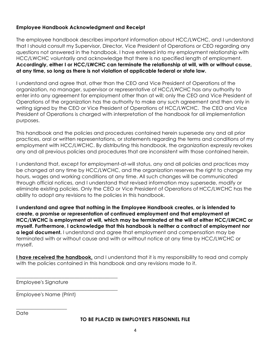#### **Employee Handbook Acknowledgment and Receipt**

The employee handbook describes important information about HCC/LWCHC, and I understand that I should consult my Supervisor, Director, Vice President of Operations or CEO regarding any questions not answered in the handbook. I have entered into my employment relationship with HCC/LWCHC voluntarily and acknowledge that there is no specified length of employment. **Accordingly, either I or HCC/LWCHC can terminate the relationship at will, with or without cause, at any time, so long as there is not violation of applicable federal or state law.**

I understand and agree that, other than the CEO and Vice President of Operations of the organization, no manager, supervisor or representative of HCC/LWCHC has any authority to enter into any agreement for employment other than at will; only the CEO and Vice President of Operations of the organization has the authority to make any such agreement and then only in writing signed by the CEO or Vice President of Operations of HCC/LWCHC. The CEO and Vice President of Operations is charged with interpretation of the handbook for all implementation purposes.

This handbook and the policies and procedures contained herein supersede any and all prior practices, oral or written representations, or statements regarding the terms and conditions of my employment with HCC/LWCHC. By distributing this handbook, the organization expressly revokes any and all previous policies and procedures that are inconsistent with those contained herein.

I understand that, except for employment-at-will status, any and all policies and practices may be changed at any time by HCC/LWCHC, and the organization reserves the right to change my hours, wages and working conditions at any time. All such changes will be communicated through official notices, and I understand that revised information may supersede, modify or eliminate existing policies. Only the CEO or Vice President of Operations of HCC/LWCHC has the ability to adopt any revisions to the policies in this handbook.

**I understand and agree that nothing in the Employee Handbook creates, or is intended to create, a promise or representation of continued employment and that employment at HCC/LWCHC is employment at will, which may be terminated at the will of either HCC/LWCHC or myself. Furthermore, I acknowledge that this handbook is neither a contract of employment nor a legal document.** I understand and agree that employment and compensation may be terminated with or without cause and with or without notice at any time by HCC/LWCHC or myself.

**I have received the handbook**, and I understand that it is my responsibility to read and comply with the policies contained in this handbook and any revisions made to it.

Employee's Signature

\_\_\_\_\_\_\_\_\_\_\_\_\_\_\_\_\_\_\_\_

Employee's Name (Print)

\_\_\_\_\_\_\_\_\_\_\_\_\_\_\_\_\_\_\_\_\_\_\_\_\_\_\_\_\_\_\_\_\_\_\_\_\_\_\_\_

\_\_\_\_\_\_\_\_\_\_\_\_\_\_\_\_\_\_\_\_\_\_\_\_\_\_\_\_\_\_\_\_\_\_\_\_\_\_\_\_

Date

#### **TO BE PLACED IN EMPLOYEE'S PERSONNEL FILE**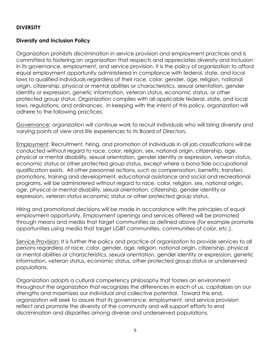#### **DIVERSITY**

#### **Diversity and Inclusion Policy**

Organization prohibits discrimination in service provision and employment practices and is committed to fostering an organization that respects and appreciates diversity and inclusion in its governance, employment, and service provision. It is the policy of organization to afford equal employment opportunity administered in compliance with federal, state, and local laws to qualified individuals regardless of their race, color, gender, age, religion, national origin, citizenship, physical or mental abilities or characteristics, sexual orientation, gender identity or expression, genetic information, veteran status, economic status, or other protected group status. Organization complies with all applicable federal, state, and local laws, regulations, and ordinances. In keeping with the intent of this policy, organization will adhere to the following practices:

Governance: organization will continue work to recruit individuals who will bring diversity and varying points of view and life experiences to its Board of Directors.

Employment: Recruitment, hiring, and promotion of individuals in all job classifications will be conducted without regard to race, color, religion, sex, national origin, citizenship, age, physical or mental disability, sexual orientation, gender identity or expression, veteran status, economic status or other protected group status, except where a bona fide occupational qualification exists. All other personnel actions, such as compensation, benefits, transfers, promotions, training and development, educational assistance and social and recreational programs, will be administered without regard to race, color, religion, sex, national origin, age, physical or mental disability, sexual orientation, citizenship, gender identity or expression, veteran status economic status or other protected group status.

Hiring and promotional decisions will be made in accordance with the principles of equal employment opportunity. Employment openings and services offered will be promoted through means and media that target communities as defined above (for example promote opportunities using media that target LGBT communities, communities of color, etc.).

Service Provision: It is further the policy and practice of organization to provide services to all persons regardless of race, color, gender, age, religion, national origin, citizenship, physical or mental abilities or characteristics, sexual orientation, gender identity or expression, genetic information, veteran status, economic status, other protected group status or underserved populations.

Organization adopts a cultural competency philosophy that fosters an environment throughout the organization that recognizes the differences in each of us, capitalizes on our strengths and maximizes our individual and collective potential. Toward this end, organization will seek to assure that its governance, employment, and service provision reflect and promote the diversity of the community and will support efforts to end discrimination and disparities among diverse and underserved populations.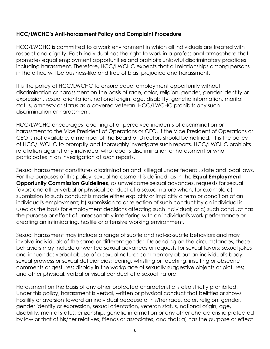## **HCC/LWCHC's Anti-harassment Policy and Complaint Procedure**

HCC/LWCHC is committed to a work environment in which all individuals are treated with respect and dignity. Each individual has the right to work in a professional atmosphere that promotes equal employment opportunities and prohibits unlawful discriminatory practices, including harassment. Therefore, HCC/LWCHC expects that all relationships among persons in the office will be business-like and free of bias, prejudice and harassment.

It is the policy of HCC/LWCHC to ensure equal employment opportunity without discrimination or harassment on the basis of race, color, religion, gender, gender identity or expression, sexual orientation, national origin, age, disability, genetic information, marital status, amnesty or status as a covered veteran. HCC/LWCHC prohibits any such discrimination or harassment.

HCC/LWCHC encourages reporting of all perceived incidents of discrimination or harassment to the Vice President of Operations or CEO. If the Vice President of Operations or CEO is not available, a member of the Board of Directors should be notified. It is the policy of HCC/LWCHC to promptly and thoroughly investigate such reports. HCC/LWCHC prohibits retaliation against any individual who reports discrimination or harassment or who participates in an investigation of such reports.

Sexual harassment constitutes discrimination and is illegal under federal, state and local laws. For the purposes of this policy, sexual harassment is defined, as in the **Equal Employment Opportunity Commission Guidelines**, as unwelcome sexual advances, requests for sexual favors and other verbal or physical conduct of a sexual nature when, for example a) submission to such conduct is made either explicitly or implicitly a term or condition of an individual's employment; b) submission to or rejection of such conduct by an individual is used as the basis for employment decisions affecting such individual; or c) such conduct has the purpose or effect of unreasonably interfering with an individual's work performance or creating an intimidating, hostile or offensive working environment.

Sexual harassment may include a range of subtle and not-so-subtle behaviors and may involve individuals of the same or different gender. Depending on the circumstances, these behaviors may include unwanted sexual advances or requests for sexual favors; sexual jokes and innuendo; verbal abuse of a sexual nature; commentary about an individual's body, sexual prowess or sexual deficiencies; leering, whistling or touching; insulting or obscene comments or gestures; display in the workplace of sexually suggestive objects or pictures; and other physical, verbal or visual conduct of a sexual nature.

Harassment on the basis of any other protected characteristic is also strictly prohibited. Under this policy, harassment is verbal, written or physical conduct that belittles or shows hostility or aversion toward an individual because of his/her race, color, religion, gender, gender identity or expression, sexual orientation, veteran status, national origin, age, disability, marital status, citizenship, genetic information or any other characteristic protected by law or that of his/her relatives, friends or associates, and that; a) has the purpose or effect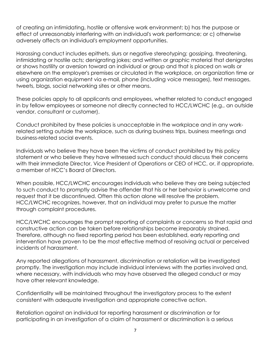of creating an intimidating, hostile or offensive work environment; b) has the purpose or effect of unreasonably interfering with an individual's work performance; or c) otherwise adversely affects an individual's employment opportunities.

Harassing conduct includes epithets, slurs or negative stereotyping; gossiping, threatening, intimidating or hostile acts; denigrating jokes; and written or graphic material that denigrates or shows hostility or aversion toward an individual or group and that is placed on walls or elsewhere on the employer's premises or circulated in the workplace, on organization time or using organization equipment via e-mail, phone (including voice messages), text messages, tweets, blogs, social networking sites or other means.

These policies apply to all applicants and employees, whether related to conduct engaged in by fellow employees or someone not directly connected to HCC/LWCHC (e.g., an outside vendor, consultant or customer).

Conduct prohibited by these policies is unacceptable in the workplace and in any workrelated setting outside the workplace, such as during business trips, business meetings and business-related social events.

Individuals who believe they have been the victims of conduct prohibited by this policy statement or who believe they have witnessed such conduct should discuss their concerns with their immediate Director, Vice President of Operations or CEO of HCC, or, if appropriate, a member of HCC's Board of Directors.

When possible, HCC/LWCHC encourages individuals who believe they are being subjected to such conduct to promptly advise the offender that his or her behavior is unwelcome and request that it be discontinued. Often this action alone will resolve the problem. HCC/LWCHC recognizes, however, that an individual may prefer to pursue the matter through complaint procedures.

HCC/LWCHC encourages the prompt reporting of complaints or concerns so that rapid and constructive action can be taken before relationships become irreparably strained. Therefore, although no fixed reporting period has been established, early reporting and intervention have proven to be the most effective method of resolving actual or perceived incidents of harassment.

Any reported allegations of harassment, discrimination or retaliation will be investigated promptly. The investigation may include individual interviews with the parties involved and, where necessary, with individuals who may have observed the alleged conduct or may have other relevant knowledge.

Confidentiality will be maintained throughout the investigatory process to the extent consistent with adequate investigation and appropriate corrective action.

Retaliation against an individual for reporting harassment or discrimination or for participating in an investigation of a claim of harassment or discrimination is a serious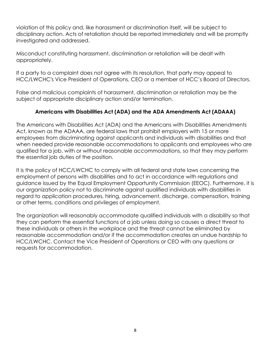violation of this policy and, like harassment or discrimination itself, will be subject to disciplinary action. Acts of retaliation should be reported immediately and will be promptly investigated and addressed.

Misconduct constituting harassment, discrimination or retaliation will be dealt with appropriately.

If a party to a complaint does not agree with its resolution, that party may appeal to HCC/LWCHC's Vice President of Operations, CEO or a member of HCC's Board of Directors.

False and malicious complaints of harassment, discrimination or retaliation may be the subject of appropriate disciplinary action and/or termination.

# **Americans with Disabilities Act (ADA) and the ADA Amendments Act (ADAAA)**

The Americans with Disabilities Act (ADA) and the Americans with Disabilities Amendments Act, known as the ADAAA, are federal laws that prohibit employers with 15 or more employees from discriminating against applicants and individuals with disabilities and that when needed provide reasonable accommodations to applicants and employees who are qualified for a job, with or without reasonable accommodations, so that they may perform the essential job duties of the position.

It is the policy of HCC/LWCHC to comply with all federal and state laws concerning the employment of persons with disabilities and to act in accordance with regulations and guidance issued by the Equal Employment Opportunity Commission (EEOC). Furthermore, it is our organization policy not to discriminate against qualified individuals with disabilities in regard to application procedures, hiring, advancement, discharge, compensation, training or other terms, conditions and privileges of employment.

The organization will reasonably accommodate qualified individuals with a disability so that they can perform the essential functions of a job unless doing so causes a direct threat to these individuals or others in the workplace and the threat cannot be eliminated by reasonable accommodation and/or if the accommodation creates an undue hardship to HCC/LWCHC. Contact the Vice President of Operations or CEO with any questions or requests for accommodation.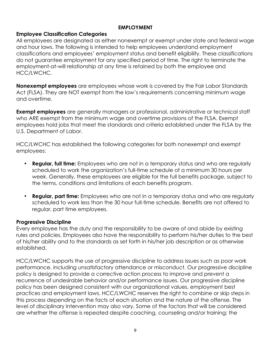#### **EMPLOYMENT**

#### **Employee Classification Categories**

All employees are designated as either nonexempt or exempt under state and federal wage and hour laws. The following is intended to help employees understand employment classifications and employees' employment status and benefit eligibility. These classifications do not guarantee employment for any specified period of time. The right to terminate the employment-at-will relationship at any time is retained by both the employee and HCC/LWCHC.

**Nonexempt employees** are employees whose work is covered by the Fair Labor Standards Act (FLSA). They are NOT exempt from the law's requirements concerning minimum wage and overtime.

**Exempt employees** are generally managers or professional, administrative or technical staff who ARE exempt from the minimum wage and overtime provisions of the FLSA. Exempt employees hold jobs that meet the standards and criteria established under the FLSA by the U.S. Department of Labor.

HCC/LWCHC has established the following categories for both nonexempt and exempt employees:

- **Regular, full time:** Employees who are not in a temporary status and who are regularly scheduled to work the organization's full-time schedule of a minimum 30 hours per week. Generally, these employees are eligible for the full benefits package, subject to the terms, conditions and limitations of each benefits program.
- **Regular, part time:** Employees who are not in a temporary status and who are regularly scheduled to work less than the 30 hour full-time schedule. Benefits are not offered to regular, part time employees.

#### **Progressive Discipline**

Every employee has the duty and the responsibility to be aware of and abide by existing rules and policies. Employees also have the responsibility to perform his/her duties to the best of his/her ability and to the standards as set forth in his/her job description or as otherwise established.

HCC/LWCHC supports the use of progressive discipline to address issues such as poor work performance, including unsatisfactory attendance or misconduct. Our progressive discipline policy is designed to provide a corrective action process to improve and prevent a recurrence of undesirable behavior and/or performance issues. Our progressive discipline policy has been designed consistent with our organizational values, employment best practices and employment laws. HCC/LWCHC reserves the right to combine or skip steps in this process depending on the facts of each situation and the nature of the offense. The level of disciplinary intervention may also vary. Some of the factors that will be considered are whether the offense is repeated despite coaching, counseling and/or training; the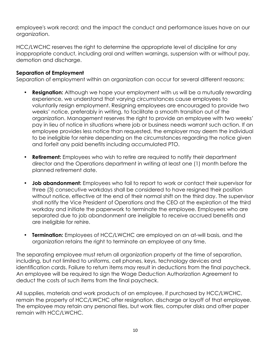employee's work record; and the impact the conduct and performance issues have on our organization.

HCC/LWCHC reserves the right to determine the appropriate level of discipline for any inappropriate conduct, including oral and written warnings, suspension with or without pay, demotion and discharge.

# **Separation of Employment**

Separation of employment within an organization can occur for several different reasons:

- **Resignation:** Although we hope your employment with us will be a mutually rewarding experience, we understand that varying circumstances cause employees to voluntarily resign employment. Resigning employees are encouraged to provide two weeks' notice, preferably in writing, to facilitate a smooth transition out of the organization. Management reserves the right to provide an employee with two weeks' pay in lieu of notice in situations where job or business needs warrant such action. If an employee provides less notice than requested, the employer may deem the individual to be ineligible for rehire depending on the circumstances regarding the notice given and forfeit any paid benefits including accumulated PTO.
- **Retirement:** Employees who wish to retire are required to notify their department director and the Operations department in writing at least one (1) month before the planned retirement date.
- **Job abandonment:** Employees who fail to report to work or contact their supervisor for three (3) consecutive workdays shall be considered to have resigned their position without notice, effective at the end of their normal shift on the third day. The supervisor shall notify the Vice President of Operations and the CEO at the expiration of the third workday and initiate the paperwork to terminate the employee. Employees who are separated due to job abandonment are ineligible to receive accrued benefits and are ineligible for rehire.
- **Termination:** Employees of HCC/LWCHC are employed on an at-will basis, and the organization retains the right to terminate an employee at any time.

The separating employee must return all organization property at the time of separation, including, but not limited to uniforms, cell phones, keys, technology devices and identification cards. Failure to return items may result in deductions from the final paycheck. An employee will be required to sign the Wage Deduction Authorization Agreement to deduct the costs of such items from the final paycheck.

All supplies, materials and work products of an employee, if purchased by HCC/LWCHC, remain the property of HCC/LWCHC after resignation, discharge or layoff of that employee. The employee may retain any personal files, but work files, computer disks and other paper remain with HCC/LWCHC.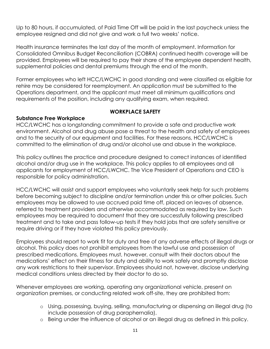Up to 80 hours, if accumulated, of Paid Time Off will be paid in the last paycheck unless the employee resigned and did not give and work a full two weeks' notice.

Health insurance terminates the last day of the month of employment. Information for Consolidated Omnibus Budget Reconciliation (COBRA) continued health coverage will be provided. Employees will be required to pay their share of the employee dependent health, supplemental policies and dental premiums through the end of the month.

Former employees who left HCC/LWCHC in good standing and were classified as eligible for rehire may be considered for reemployment. An application must be submitted to the Operations department, and the applicant must meet all minimum qualifications and requirements of the position, including any qualifying exam, when required.

#### **WORKPLACE SAFETY**

#### **Substance Free Workplace**

HCC/LWCHC has a longstanding commitment to provide a safe and productive work environment. Alcohol and drug abuse pose a threat to the health and safety of employees and to the security of our equipment and facilities. For these reasons, HCC/LWCHC is committed to the elimination of drug and/or alcohol use and abuse in the workplace.

This policy outlines the practice and procedure designed to correct instances of identified alcohol and/or drug use in the workplace. This policy applies to all employees and all applicants for employment of HCC/LWCHC. The Vice President of Operations and CEO is responsible for policy administration.

HCC/LWCHC will assist and support employees who voluntarily seek help for such problems before becoming subject to discipline and/or termination under this or other policies. Such employees may be allowed to use accrued paid time off, placed on leaves of absence, referred to treatment providers and otherwise accommodated as required by law. Such employees may be required to document that they are successfully following prescribed treatment and to take and pass follow-up tests if they hold jobs that are safety sensitive or require driving or if they have violated this policy previously.

Employees should report to work fit for duty and free of any adverse effects of illegal drugs or alcohol. This policy does not prohibit employees from the lawful use and possession of prescribed medications. Employees must, however, consult with their doctors about the medications' effect on their fitness for duty and ability to work safely and promptly disclose any work restrictions to their supervisor. Employees should not, however, disclose underlying medical conditions unless directed by their doctor to do so.

Whenever employees are working, operating any organizational vehicle, present on organization premises, or conducting related work off-site, they are prohibited from:

- o Using, possessing, buying, selling, manufacturing or dispensing an illegal drug (to include possession of drug paraphernalia).
- o Being under the influence of alcohol or an illegal drug as defined in this policy.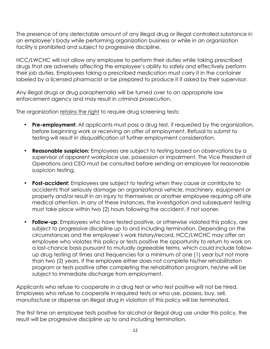The presence of any detectable amount of any illegal drug or illegal controlled substance in an employee's body while performing organization business or while in an organization facility is prohibited and subject to progressive discipline.

HCC/LWCHC will not allow any employee to perform their duties while taking prescribed drugs that are adversely affecting the employee's ability to safely and effectively perform their job duties. Employees taking a prescribed medication must carry it in the container labeled by a licensed pharmacist or be prepared to produce it if asked by their supervisor.

Any illegal drugs or drug paraphernalia will be turned over to an appropriate law enforcement agency and may result in criminal prosecution.

The organization retains the right to require drug screening tests:

- **Pre-employment:** All applicants must pass a drug test, if requested by the organization, before beginning work or receiving an offer of employment. Refusal to submit to testing will result in disqualification of further employment consideration.
- **Reasonable suspicion:** Employees are subject to testing based on observations by a supervisor of apparent workplace use, possession or impairment. The Vice President of Operations and CEO must be consulted before sending an employee for reasonable suspicion testing.
- **Post-accident:** Employees are subject to testing when they cause or contribute to accidents that seriously damage an organizational vehicle, machinery, equipment or property and/or result in an injury to themselves or another employee requiring off-site medical attention. In any of these instances, the investigation and subsequent testing must take place within two (2) hours following the accident, if not sooner.
- **Follow-up**: Employees who have tested positive, or otherwise violated this policy, are subject to progressive discipline up to and including termination. Depending on the circumstances and the employee's work history/record, HCC/LWCHC may offer an employee who violates this policy or tests positive the opportunity to return to work on a last-chance basis pursuant to mutually agreeable terms, which could include followup drug testing at times and frequencies for a minimum of one (1) year but not more than two (2) years. If the employee either does not complete his/her rehabilitation program or tests positive after completing the rehabilitation program, he/she will be subject to immediate discharge from employment.

Applicants who refuse to cooperate in a drug test or who test positive will not be hired. Employees who refuse to cooperate in required tests or who use, possess, buy, sell, manufacture or dispense an illegal drug in violation of this policy will be terminated.

The first time an employee tests positive for alcohol or illegal drug use under this policy, the result will be progressive discipline up to and including termination.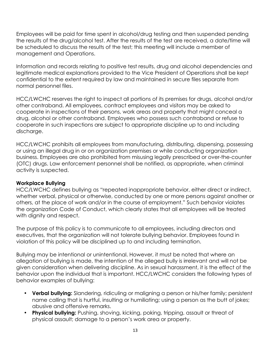Employees will be paid for time spent in alcohol/drug testing and then suspended pending the results of the drug/alcohol test. After the results of the test are received, a date/time will be scheduled to discuss the results of the test; this meeting will include a member of management and Operations.

Information and records relating to positive test results, drug and alcohol dependencies and legitimate medical explanations provided to the Vice President of Operations shall be kept confidential to the extent required by law and maintained in secure files separate from normal personnel files.

HCC/LWCHC reserves the right to inspect all portions of its premises for drugs, alcohol and/or other contraband. All employees, contract employees and visitors may be asked to cooperate in inspections of their persons, work areas and property that might conceal a drug, alcohol or other contraband. Employees who possess such contraband or refuse to cooperate in such inspections are subject to appropriate discipline up to and including discharge.

HCC/LWCHC prohibits all employees from manufacturing, distributing, dispensing, possessing or using an illegal drug in or on organization premises or while conducting organization business. Employees are also prohibited from misusing legally prescribed or over-the-counter (OTC) drugs. Law enforcement personnel shall be notified, as appropriate, when criminal activity is suspected.

#### **Workplace Bullying**

HCC/LWCHC defines bullying as "repeated inappropriate behavior, either direct or indirect, whether verbal, physical or otherwise, conducted by one or more persons against another or others, at the place of work and/or in the course of employment." Such behavior violates the organization Code of Conduct, which clearly states that all employees will be treated with dignity and respect.

The purpose of this policy is to communicate to all employees, including directors and executives, that the organization will not tolerate bullying behavior. Employees found in violation of this policy will be disciplined up to and including termination.

Bullying may be intentional or unintentional. However, it must be noted that where an allegation of bullying is made, the intention of the alleged bully is irrelevant and will not be given consideration when delivering discipline. As in sexual harassment, it is the effect of the behavior upon the individual that is important. HCC/LWCHC considers the following types of behavior examples of bullying:

- **Verbal bullying:** Slandering, ridiculing or maligning a person or his/her family; persistent name calling that is hurtful, insulting or humiliating; using a person as the butt of jokes; abusive and offensive remarks.
- **Physical bullying:** Pushing, shoving, kicking, poking, tripping, assault or threat of physical assault; damage to a person's work area or property.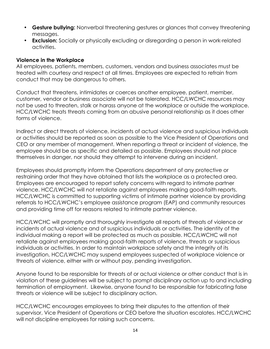- **Gesture bullying:** Nonverbal threatening gestures or glances that convey threatening messages.
- **Exclusion:** Socially or physically excluding or disregarding a person in work-related activities.

#### **Violence in the Workplace**

All employees, patients, members, customers, vendors and business associates must be treated with courtesy and respect at all times. Employees are expected to refrain from conduct that may be dangerous to others.

Conduct that threatens, intimidates or coerces another employee, patient, member, customer, vendor or business associate will not be tolerated. HCC/LWCHC resources may not be used to threaten, stalk or harass anyone at the workplace or outside the workplace. HCC/LWCHC treats threats coming from an abusive personal relationship as it does other forms of violence.

Indirect or direct threats of violence, incidents of actual violence and suspicious individuals or activities should be reported as soon as possible to the Vice President of Operations and CEO or any member of management. When reporting a threat or incident of violence, the employee should be as specific and detailed as possible. Employees should not place themselves in danger, nor should they attempt to intervene during an incident.

Employees should promptly inform the Operations department of any protective or restraining order that they have obtained that lists the workplace as a protected area. Employees are encouraged to report safety concerns with regard to intimate partner violence. HCC/LWCHC will not retaliate against employees making good-faith reports. HCC/LWCHC is committed to supporting victims of intimate partner violence by providing referrals to HCC/LWCHC's employee assistance program (EAP) and community resources and providing time off for reasons related to intimate partner violence.

HCC/LWCHC will promptly and thoroughly investigate all reports of threats of violence or incidents of actual violence and of suspicious individuals or activities. The identity of the individual making a report will be protected as much as possible. HCC/LWCHC will not retaliate against employees making good-faith reports of violence, threats or suspicious individuals or activities. In order to maintain workplace safety and the integrity of its investigation, HCC/LWCHC may suspend employees suspected of workplace violence or threats of violence, either with or without pay, pending investigation.

Anyone found to be responsible for threats of or actual violence or other conduct that is in violation of these guidelines will be subject to prompt disciplinary action up to and including termination of employment. Likewise, anyone found to be responsible for fabricating false threats or violence will be subject to disciplinary action.

HCC/LWCHC encourages employees to bring their disputes to the attention of their supervisor, Vice President of Operations or CEO before the situation escalates. HCC/LWCHC will not discipline employees for raising such concerns.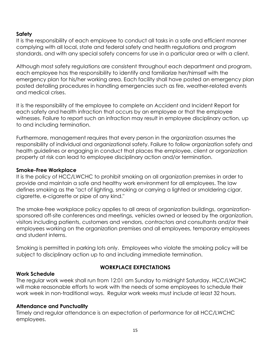#### **Safety**

It is the responsibility of each employee to conduct all tasks in a safe and efficient manner complying with all local, state and federal safety and health regulations and program standards, and with any special safety concerns for use in a particular area or with a client.

Although most safety regulations are consistent throughout each department and program, each employee has the responsibility to identify and familiarize her/himself with the emergency plan for his/her working area. Each facility shall have posted an emergency plan posted detailing procedures in handling emergencies such as fire, weather-related events and medical crises.

It is the responsibility of the employee to complete an Accident and Incident Report for each safety and health infraction that occurs by an employee or that the employee witnesses. Failure to report such an infraction may result in employee disciplinary action, up to and including termination.

Furthermore, management requires that every person in the organization assumes the responsibility of individual and organizational safety. Failure to follow organization safety and health guidelines or engaging in conduct that places the employee, client or organization property at risk can lead to employee disciplinary action and/or termination.

#### **Smoke-Free Workplace**

It is the policy of HCC/LWCHC to prohibit smoking on all organization premises in order to provide and maintain a safe and healthy work environment for all employees. The law defines smoking as the "act of lighting, smoking or carrying a lighted or smoldering cigar, cigarette, e-cigarette or pipe of any kind."

The smoke-free workplace policy applies to all areas of organization buildings, organizationsponsored off-site conferences and meetings, vehicles owned or leased by the organization, visitors including patients, customers and vendors, contractors and consultants and/or their employees working on the organization premises and all employees, temporary employees and student interns.

Smoking is permitted in parking lots only. Employees who violate the smoking policy will be subject to disciplinary action up to and including immediate termination.

#### **Work Schedule**

## **WORKPLACE EXPECTATIONS**

The regular work week shall run from 12:01 am Sunday to midnight Saturday. HCC/LWCHC will make reasonable efforts to work with the needs of some employees to schedule their work week in non-traditional ways. Regular work weeks must include at least 32 hours.

## **Attendance and Punctuality**

Timely and regular attendance is an expectation of performance for all HCC/LWCHC employees.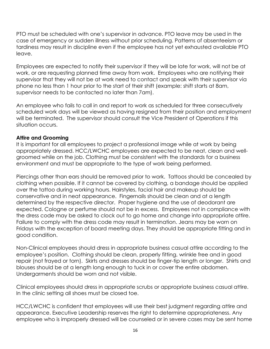PTO must be scheduled with one's supervisor in advance. PTO leave may be used in the case of emergency or sudden illness without prior scheduling. Patterns of absenteeism or tardiness may result in discipline even if the employee has not yet exhausted available PTO leave.

Employees are expected to notify their supervisor if they will be late for work, will not be at work, or are requesting planned time away from work. Employees who are notifying their supervisor that they will not be at work need to contact and speak with their supervisor via phone no less than 1 hour prior to the start of their shift (example: shift starts at 8am, supervisor needs to be contacted no later than 7am).

An employee who fails to call in and report to work as scheduled for three consecutively scheduled work days will be viewed as having resigned from their position and employment will be terminated. The supervisor should consult the Vice President of Operations if this situation occurs.

#### **Attire and Grooming**

It is important for all employees to project a professional image while at work by being appropriately dressed. HCC/LWCHC employees are expected to be neat, clean and wellgroomed while on the job. Clothing must be consistent with the standards for a business environment and must be appropriate to the type of work being performed.

Piercings other than ears should be removed prior to work. Tattoos should be concealed by clothing when possible. If it cannot be covered by clothing, a bandage should be applied over the tattoo during working hours. Hairstyles, facial hair and makeup should be conservative and in neat appearance. Fingernails should be clean and at a length determined by the respective director. Proper hygiene and the use of deodorant are expected. Cologne or perfume should not be in excess. Employees not in compliance with the dress code may be asked to clock out to go home and change into appropriate attire. Failure to comply with the dress code may result in termination. Jeans may be worn on Fridays with the exception of board meeting days. They should be appropriate fitting and in good condition.

Non-Clinical employees should dress in appropriate business casual attire according to the employee's position. Clothing should be clean, properly fitting, wrinkle free and in good repair (not frayed or torn). Skirts and dresses should be finger-tip length or longer. Shirts and blouses should be at a length long enough to tuck in or cover the entire abdomen. Undergarments should be worn and not visible.

Clinical employees should dress in appropriate scrubs or appropriate business casual attire. In the clinic setting all shoes must be closed toe.

HCC/LWCHC is confident that employees will use their best judgment regarding attire and appearance. Executive Leadership reserves the right to determine appropriateness. Any employee who is improperly dressed will be counseled or in severe cases may be sent home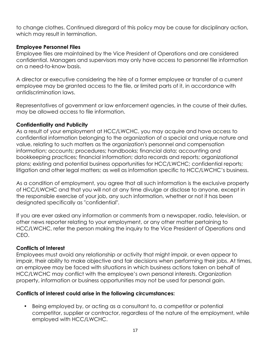to change clothes. Continued disregard of this policy may be cause for disciplinary action, which may result in termination.

#### **Employee Personnel Files**

Employee files are maintained by the Vice President of Operations and are considered confidential. Managers and supervisors may only have access to personnel file information on a need-to-know basis.

A director or executive considering the hire of a former employee or transfer of a current employee may be granted access to the file, or limited parts of it, in accordance with antidiscrimination laws.

Representatives of government or law enforcement agencies, in the course of their duties, may be allowed access to file information.

#### **Confidentiality and Publicity**

As a result of your employment at HCC/LWCHC, you may acquire and have access to confidential information belonging to the organization of a special and unique nature and value, relating to such matters as the organization's personnel and compensation information; accounts; procedures; handbooks; financial data; accounting and bookkeeping practices; financial information; data records and reports; organizational plans; existing and potential business opportunities for HCC/LWCHC; confidential reports; litigation and other legal matters; as well as information specific to HCC/LWCHC's business.

As a condition of employment, you agree that all such information is the exclusive property of HCC/LWCHC and that you will not at any time divulge or disclose to anyone, except in the responsible exercise of your job, any such information, whether or not it has been designated specifically as "confidential".

If you are ever asked any information or comments from a newspaper, radio, television, or other news reporter relating to your employment, or any other matter pertaining to HCC/LWCHC, refer the person making the inquiry to the Vice President of Operations and CEO.

## **Conflicts of Interest**

Employees must avoid any relationship or activity that might impair, or even appear to impair, their ability to make objective and fair decisions when performing their jobs. At times, an employee may be faced with situations in which business actions taken on behalf of HCC/LWCHC may conflict with the employee's own personal interests. Organization property, information or business opportunities may not be used for personal gain.

## **Conflicts of interest could arise in the following circumstances:**

• Being employed by, or acting as a consultant to, a competitor or potential competitor, supplier or contractor, regardless of the nature of the employment, while employed with HCC/LWCHC.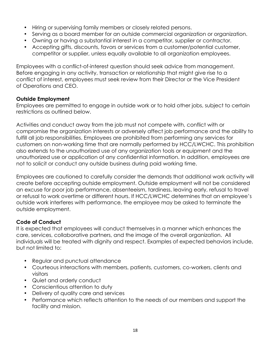- Hiring or supervising family members or closely related persons.
- Serving as a board member for an outside commercial organization or organization.
- Owning or having a substantial interest in a competitor, supplier or contractor.
- Accepting gifts, discounts, favors or services from a customer/potential customer, competitor or supplier, unless equally available to all organization employees.

Employees with a conflict-of-interest question should seek advice from management. Before engaging in any activity, transaction or relationship that might give rise to a conflict of interest, employees must seek review from their Director or the Vice President of Operations and CEO.

#### **Outside Employment**

Employees are permitted to engage in outside work or to hold other jobs, subject to certain restrictions as outlined below.

Activities and conduct away from the job must not compete with, conflict with or compromise the organization interests or adversely affect job performance and the ability to fulfill all job responsibilities. Employees are prohibited from performing any services for customers on non-working time that are normally performed by HCC/LWCHC. This prohibition also extends to the unauthorized use of any organization tools or equipment and the unauthorized use or application of any confidential information. In addition, employees are not to solicit or conduct any outside business during paid working time.

Employees are cautioned to carefully consider the demands that additional work activity will create before accepting outside employment. Outside employment will not be considered an excuse for poor job performance, absenteeism, tardiness, leaving early, refusal to travel or refusal to work overtime or different hours. If HCC/LWCHC determines that an employee's outside work interferes with performance, the employee may be asked to terminate the outside employment.

## **Code of Conduct**

It is expected that employees will conduct themselves in a manner which enhances the care, services, collaborative partners, and the image of the overall organization. All individuals will be treated with dignity and respect. Examples of expected behaviors include, but not limited to:

- Regular and punctual attendance
- Courteous interactions with members, patients, customers, co-workers, clients and visitors
- Quiet and orderly conduct
- Conscientious attention to duty
- Delivery of quality care and services
- Performance which reflects attention to the needs of our members and support the facility and mission.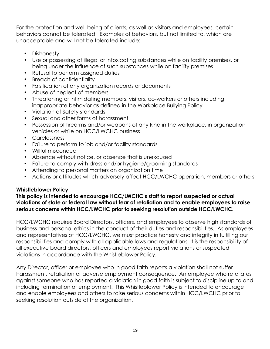For the protection and well-being of clients, as well as visitors and employees, certain behaviors cannot be tolerated. Examples of behaviors, but not limited to, which are unacceptable and will not be tolerated include:

- Dishonesty
- Use or possessing of illegal or intoxicating substances while on facility premises, or being under the influence of such substances while on facility premises
- Refusal to perform assigned duties
- Breach of confidentiality
- Falsification of any organization records or documents
- Abuse of neglect of members
- Threatening or intimidating members, visitors, co-workers or others including inappropriate behavior as defined in the Workplace Bullying Policy
- Violation of Safety standards
- Sexual and other forms of harassment
- Possession of firearms and/or weapons of any kind in the workplace, in organization vehicles or while on HCC/LWCHC business
- Carelessness
- Failure to perform to job and/or facility standards
- Willful misconduct
- Absence without notice, or absence that is unexcused
- Failure to comply with dress and/or hygiene/grooming standards
- Attending to personal matters on organization time
- Actions or attitudes which adversely affect HCC/LWCHC operation, members or others

## **Whistleblower Policy**

#### **This policy is intended to encourage HCC/LWCHC's staff to report suspected or actual violations of state or federal law without fear of retaliation and to enable employees to raise serious concerns within HCC/LWCHC prior to seeking resolution outside HCC/LWCHC.**

HCC/LWCHC requires Board Directors, officers, and employees to observe high standards of business and personal ethics in the conduct of their duties and responsibilities. As employees and representatives of HCC/LWCHC, we must practice honesty and integrity in fulfilling our responsibilities and comply with all applicable laws and regulations. It is the responsibility of all executive board directors, officers and employees report violations or suspected violations in accordance with the Whistleblower Policy.

Any Director, officer or employee who in good faith reports a violation shall not suffer harassment, retaliation or adverse employment consequence. An employee who retaliates against someone who has reported a violation in good faith is subject to discipline up to and including termination of employment. This Whistleblower Policy is intended to encourage and enable employees and others to raise serious concerns within HCC/LWCHC prior to seeking resolution outside of the organization.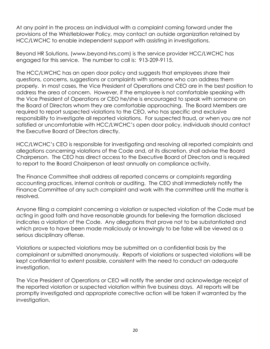At any point in the process an individual with a complaint coming forward under the provisions of the Whistleblower Policy, may contact an outside organization retained by HCC/LWCHC to enable independent support with assisting in investigations.

Beyond HR Solutions, (www.beyond-hrs.com) is the service provider HCC/LWCHC has engaged for this service. The number to call is: 913-209-9115.

The HCC/LWCHC has an open door policy and suggests that employees share their questions, concerns, suggestions or complaints with someone who can address them properly. In most cases, the Vice President of Operations and CEO are in the best position to address the area of concern. However, if the employee is not comfortable speaking with the Vice President of Operations or CEO he/she is encouraged to speak with someone on the Board of Directors whom they are comfortable approaching. The Board Members are required to report suspected violations to the CEO, who has specific and exclusive responsibility to investigate all reported violations. For suspected fraud, or when you are not satisfied or uncomfortable with HCC/LWCHC's open door policy, individuals should contact the Executive Board of Directors directly.

HCC/LWCHC's CEO is responsible for investigating and resolving all reported complaints and allegations concerning violations of the Code and, at its discretion, shall advise the Board Chairperson. The CEO has direct access to the Executive Board of Directors and is required to report to the Board Chairperson at least annually on compliance activity.

The Finance Committee shall address all reported concerns or complaints regarding accounting practices, internal controls or auditing. The CEO shall immediately notify the Finance Committee of any such complaint and work with the committee until the matter is resolved.

Anyone filing a complaint concerning a violation or suspected violation of the Code must be acting in good faith and have reasonable grounds for believing the formation disclosed indicates a violation of the Code. Any allegations that prove not to be substantiated and which prove to have been made maliciously or knowingly to be false will be viewed as a serious disciplinary offense.

Violations or suspected violations may be submitted on a confidential basis by the complainant or submitted anonymously. Reports of violations or suspected violations will be kept confidential to extent possible, consistent with the need to conduct an adequate investigation.

The Vice President of Operations or CEO will notify the sender and acknowledge receipt of the reported violation or suspected violation within five business days. All reports will be promptly investigated and appropriate corrective action will be taken if warranted by the investigation.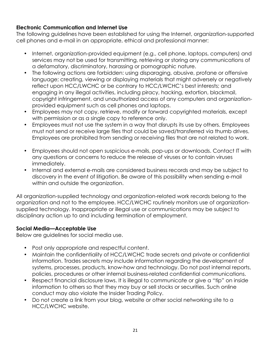## **Electronic Communication and Internet Use**

The following guidelines have been established for using the Internet, organization-supported cell phones and e-mail in an appropriate, ethical and professional manner:

- Internet, organization-provided equipment (e.g., cell phone, laptops, computers) and services may not be used for transmitting, retrieving or storing any communications of a defamatory, discriminatory, harassing or pornographic nature.
- The following actions are forbidden: using disparaging, abusive, profane or offensive language; creating, viewing or displaying materials that might adversely or negatively reflect upon HCC/LWCHC or be contrary to HCC/LWCHC's best interests; and engaging in any illegal activities, including piracy, hacking, extortion, blackmail, copyright infringement, and unauthorized access of any computers and organizationprovided equipment such as cell phones and laptops.
- Employees may not copy, retrieve, modify or forward copyrighted materials, except with permission or as a single copy to reference only.
- Employees must not use the system in a way that disrupts its use by others. Employees must not send or receive large files that could be saved/transferred via thumb drives. Employees are prohibited from sending or receiving files that are not related to work.
- Employees should not open suspicious e-mails, pop-ups or downloads. Contact IT with any questions or concerns to reduce the release of viruses or to contain viruses immediately.
- Internal and external e-mails are considered business records and may be subject to discovery in the event of litigation. Be aware of this possibility when sending e-mail within and outside the organization.

All organization-supplied technology and organization-related work records belong to the organization and not to the employee. HCC/LWCHC routinely monitors use of organizationsupplied technology. Inappropriate or illegal use or communications may be subject to disciplinary action up to and including termination of employment.

#### **Social Media—Acceptable Use**

Below are guidelines for social media use.

- Post only appropriate and respectful content.
- Maintain the confidentiality of HCC/LWCHC trade secrets and private or confidential information. Trades secrets may include information regarding the development of systems, processes, products, know-how and technology. Do not post internal reports, policies, procedures or other internal business-related confidential communications.
- Respect financial disclosure laws. It is illegal to communicate or give a "tip" on inside information to others so that they may buy or sell stocks or securities. Such online conduct may also violate the Insider Trading Policy.
- Do not create a link from your blog, website or other social networking site to a HCC/LWCHC website.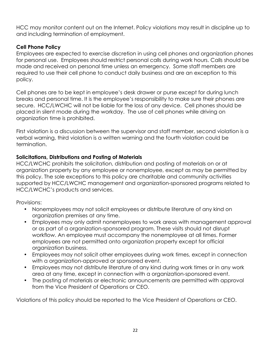HCC may monitor content out on the Internet. Policy violations may result in discipline up to and including termination of employment.

## **Cell Phone Policy**

Employees are expected to exercise discretion in using cell phones and organization phones for personal use. Employees should restrict personal calls during work hours. Calls should be made and received on personal time unless an emergency. Some staff members are required to use their cell phone to conduct daily business and are an exception to this policy.

Cell phones are to be kept in employee's desk drawer or purse except for during lunch breaks and personal time. It is the employee's responsibility to make sure their phones are secure. HCC/LWCHC will not be liable for the loss of any device. Cell phones should be placed in silent mode during the workday. The use of cell phones while driving on organization time is prohibited.

First violation is a discussion between the supervisor and staff member, second violation is a verbal warning, third violation is a written warning and the fourth violation could be termination.

# **Solicitations, Distributions and Posting of Materials**

HCC/LWCHC prohibits the solicitation, distribution and posting of materials on or at organization property by any employee or nonemployee, except as may be permitted by this policy. The sole exceptions to this policy are charitable and community activities supported by HCC/LWCHC management and organization-sponsored programs related to HCC/LWCHC's products and services.

Provisions:

- Nonemployees may not solicit employees or distribute literature of any kind on organization premises at any time.
- Employees may only admit nonemployees to work areas with management approval or as part of a organization-sponsored program. These visits should not disrupt workflow. An employee must accompany the nonemployee at all times. Former employees are not permitted onto organization property except for official organization business.
- Employees may not solicit other employees during work times, except in connection with a organization-approved or sponsored event.
- Employees may not distribute literature of any kind during work times or in any work area at any time, except in connection with a organization-sponsored event.
- The posting of materials or electronic announcements are permitted with approval from the Vice President of Operations or CEO.

Violations of this policy should be reported to the Vice President of Operations or CEO.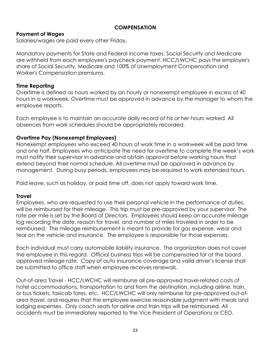#### **COMPENSATION**

## **Payment of Wages**

Salaries/wages are paid every other Friday.

Mandatory payments for State and Federal income taxes, Social Security and Medicare are withheld from each employee's paycheck payment. HCC/LWCHC pays the employer's share of Social Security, Medicare and 100% of Unemployment Compensation and Worker's Compensation premiums.

#### **Time Reporting**

Overtime is defined as hours worked by an hourly or nonexempt employee in excess of 40 hours in a workweek. Overtime must be approved in advance by the manager to whom the employee reports.

Each employee is to maintain an accurate daily record of his or her hours worked. All absences from work schedules should be appropriately recorded.

## **Overtime Pay (Nonexempt Employees)**

Nonexempt employees who exceed 40 hours of work time in a workweek will be paid time and one half. Employees who anticipate the need for overtime to complete the week's work must notify their supervisor in advance and obtain approval before working hours that extend beyond their normal schedule. All overtime must be approved in advance by management. During busy periods, employees may be required to work extended hours.

Paid leave, such as holiday, or paid time off, does not apply toward work time.

## **Travel**

Employees, who are requested to use their personal vehicle in the performance of duties, will be reimbursed for their mileage. This trip must be pre-approved by your supervisor. The rate per mile is set by the Board of Directors. Employees should keep an accurate mileage log recording the date, reason for travel, and number of miles traveled in order to be reimbursed. The mileage reimbursement is meant to provide for gas expense, wear and tear on the vehicle and insurance. The employee is responsible for those expenses.

Each individual must carry automobile liability insurance. The organization does not cover the employee in this regard. Official business trips will be compensated for at the board approved mileage rate. Copy of auto insurance coverage and valid driver's license shall be submitted to office staff when employee receives renewals.

Out-of-area Travel - HCC/LWCHC will reimburse all pre-approved travel-related costs of hotel accommodations, transportation to and from the destination, including airline, train, or bus tickets, taxicab fares, etc. HCC/LWCHC will only reimburse for pre-approved out-ofarea travel, and requires that the employee exercise reasonable judgment with meals and lodging expenses. Only coach seats for airline and train trips will be reimbursed. All accidents must be immediately reported to the Vice President of Operations or CEO.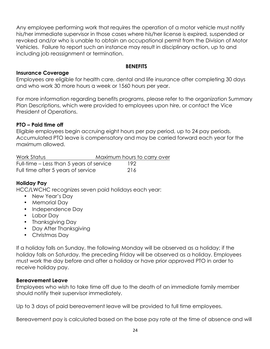Any employee performing work that requires the operation of a motor vehicle must notify his/her immediate supervisor in those cases where his/her license is expired, suspended or revoked and/or who is unable to obtain an occupational permit from the Division of Motor Vehicles. Failure to report such an instance may result in disciplinary action, up to and including job reassignment or termination.

#### **BENEFITS**

#### **Insurance Coverage**

Employees are eligible for health care, dental and life insurance after completing 30 days and who work 30 more hours a week or 1560 hours per year.

For more information regarding benefits programs, please refer to the organization Summary Plan Descriptions, which were provided to employees upon hire, or contact the Vice President of Operations.

#### **PTO – Paid time off**

Eligible employees begin accruing eight hours per pay period, up to 24 pay periods. Accumulated PTO leave is compensatory and may be carried forward each year for the maximum allowed.

| Work Status                              | Maximum hours to carry over |     |  |
|------------------------------------------|-----------------------------|-----|--|
| Full-time – Less than 5 years of service |                             | 192 |  |
| Full time after 5 years of service       |                             | 216 |  |

## **Holiday Pay**

HCC/LWCHC recognizes seven paid holidays each year:

- New Year's Day
- Memorial Day
- Independence Day
- Labor Day
- Thanksgiving Day
- Day After Thanksgiving
- Christmas Day

If a holiday falls on Sunday, the following Monday will be observed as a holiday; if the holiday falls on Saturday, the preceding Friday will be observed as a holiday. Employees must work the day before and after a holiday or have prior approved PTO in order to receive holiday pay.

#### **Bereavement Leave**

Employees who wish to take time off due to the death of an immediate family member should notify their supervisor immediately.

Up to 3 days of paid bereavement leave will be provided to full time employees.

Bereavement pay is calculated based on the base pay rate at the time of absence and will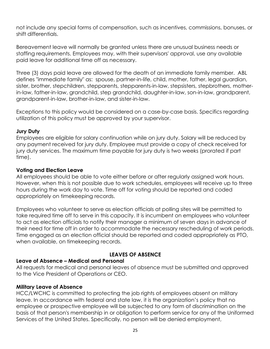not include any special forms of compensation, such as incentives, commissions, bonuses, or shift differentials.

Bereavement leave will normally be granted unless there are unusual business needs or staffing requirements. Employees may, with their supervisors' approval, use any available paid leave for additional time off as necessary.

Three (3) days paid leave are allowed for the death of an immediate family member. ABL defines "immediate family" as: spouse, partner-in-life, child, mother, father, legal guardian, sister, brother, stepchildren, stepparents, stepparents-in-law, stepsisters, stepbrothers, motherin-law, father-in-law, grandchild, step grandchild, daughter-in-law, son-in-law, grandparent, grandparent-in-law, brother-in-law, and sister-in-law.

Exceptions to this policy would be considered on a case-by-case basis. Specifics regarding utilization of this policy must be approved by your supervisor.

#### **Jury Duty**

Employees are eligible for salary continuation while on jury duty. Salary will be reduced by any payment received for jury duty. Employee must provide a copy of check received for jury duty services. The maximum time payable for jury duty is two weeks (prorated if part time).

#### **Voting and Election Leave**

All employees should be able to vote either before or after regularly assigned work hours. However, when this is not possible due to work schedules, employees will receive up to three hours during the work day to vote. Time off for voting should be reported and coded appropriately on timekeeping records.

Employees who volunteer to serve as election officials at polling sites will be permitted to take required time off to serve in this capacity. It is incumbent on employees who volunteer to act as election officials to notify their manager a minimum of seven days in advance of their need for time off in order to accommodate the necessary rescheduling of work periods. Time engaged as an election official should be reported and coded appropriately as PTO, when available, on timekeeping records.

## **LEAVES OF ABSENCE**

## **Leave of Absence – Medical and Personal**

All requests for medical and personal leaves of absence must be submitted and approved to the Vice President of Operations or CEO.

#### **Military Leave of Absence**

HCC/LWCHC is committed to protecting the job rights of employees absent on military leave. In accordance with federal and state law, it is the organization's policy that no employee or prospective employee will be subjected to any form of discrimination on the basis of that person's membership in or obligation to perform service for any of the Uniformed Services of the United States. Specifically, no person will be denied employment,